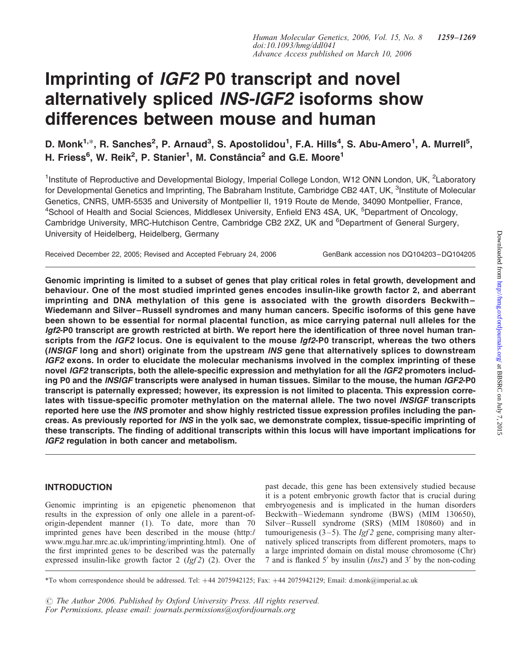# Imprinting of IGF2 P0 transcript and novel alternatively spliced INS-IGF2 isoforms show differences between mouse and human

D. Monk<sup>1,\*</sup>, R. Sanches<sup>2</sup>, P. Arnaud<sup>3</sup>, S. Apostolidou<sup>1</sup>, F.A. Hills<sup>4</sup>, S. Abu-Amero<sup>1</sup>, A. Murrell<sup>5</sup>, H. Friess<sup>6</sup>, W. Reik<sup>2</sup>, P. Stanier<sup>1</sup>, M. Constância<sup>2</sup> and G.E. Moore<sup>1</sup>

<sup>1</sup>Institute of Reproductive and Developmental Biology, Imperial College London, W12 ONN London, UK, <sup>2</sup>Laboratory for Developmental Genetics and Imprinting, The Babraham Institute, Cambridge CB2 4AT, UK, <sup>3</sup>Institute of Molecular Genetics, CNRS, UMR-5535 and University of Montpellier II, 1919 Route de Mende, 34090 Montpellier, France, <sup>4</sup>School of Health and Social Sciences, Middlesex University, Enfield EN3 4SA, UK, <sup>5</sup>Department of Oncology, Cambridge University, MRC-Hutchison Centre, Cambridge CB2 2XZ, UK and <sup>6</sup>Department of General Surgery, University of Heidelberg, Heidelberg, Germany

Received December 22, 2005; Revised and Accepted February 24, 2006 GenBank accession nos DQ104203-DQ104205

Genomic imprinting is limited to a subset of genes that play critical roles in fetal growth, development and behaviour. One of the most studied imprinted genes encodes insulin-like growth factor 2, and aberrant imprinting and DNA methylation of this gene is associated with the growth disorders Beckwith– Wiedemann and Silver–Russell syndromes and many human cancers. Specific isoforms of this gene have been shown to be essential for normal placental function, as mice carrying paternal null alleles for the Igf2-P0 transcript are growth restricted at birth. We report here the identification of three novel human transcripts from the IGF2 locus. One is equivalent to the mouse Igf2-P0 transcript, whereas the two others (INSIGF long and short) originate from the upstream INS gene that alternatively splices to downstream IGF2 exons. In order to elucidate the molecular mechanisms involved in the complex imprinting of these novel IGF2 transcripts, both the allele-specific expression and methylation for all the IGF2 promoters including P0 and the INSIGF transcripts were analysed in human tissues. Similar to the mouse, the human IGF2-P0 transcript is paternally expressed; however, its expression is not limited to placenta. This expression correlates with tissue-specific promoter methylation on the maternal allele. The two novel INSIGF transcripts reported here use the INS promoter and show highly restricted tissue expression profiles including the pancreas. As previously reported for INS in the yolk sac, we demonstrate complex, tissue-specific imprinting of these transcripts. The finding of additional transcripts within this locus will have important implications for IGF2 regulation in both cancer and metabolism.

# INTRODUCTION

Genomic imprinting is an epigenetic phenomenon that results in the expression of only one allele in a parent-oforigin-dependent manner (1). To date, more than 70 imprinted genes have been described in the mouse (http:// www.mgu.har.mrc.ac.uk/imprinting/imprinting.html). One of the first imprinted genes to be described was the paternally expressed insulin-like growth factor 2  $(Igf2)$  (2). Over the

past decade, this gene has been extensively studied because it is a potent embryonic growth factor that is crucial during embryogenesis and is implicated in the human disorders Beckwith –Wiedemann syndrome (BWS) (MIM 130650), Silver –Russell syndrome (SRS) (MIM 180860) and in tumourigenesis  $(3-5)$ . The *Igf 2* gene, comprising many alternatively spliced transcripts from different promoters, maps to a large imprinted domain on distal mouse chromosome (Chr) 7 and is flanked 5' by insulin  $(Ins2)$  and 3' by the non-coding

*#* The Author 2006. Published by Oxford University Press. All rights reserved. For Permissions, please email: journals.permissions@oxfordjournals.org

<sup>\*</sup>To whom correspondence should be addressed. Tel: þ44 2075942125; Fax: þ44 2075942129; Email: d.monk@imperial.ac.uk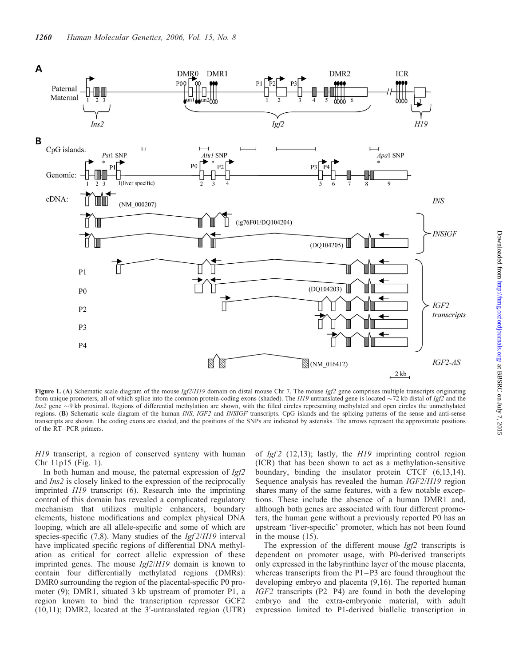

Figure 1. (A) Schematic scale diagram of the mouse  $Ig/2/H19$  domain on distal mouse Chr 7. The mouse  $Ig/2$  gene comprises multiple transcripts originating from unique promoters, all of which splice into the common protein-coding exons (shaded). The H19 untranslated gene is located  $\sim$ 72 kb distal of Igf2 and the *Ins2* gene  $\sim$ 9 kb proximal. Regions of differential methylation are shown, with the filled circles representing methylated and open circles the unmethylated regions. (B) Schematic scale diagram of the human INS, IGF2 and INSIGF transcripts. CpG islands and the splicing patterns of the sense and anti-sense transcripts are shown. The coding exons are shaded, and the positions of the SNPs are indicated by asterisks. The arrows represent the approximate positions of the RT–PCR primers.

H19 transcript, a region of conserved synteny with human Chr 11p15 (Fig. 1).

In both human and mouse, the paternal expression of Igf2 and Ins2 is closely linked to the expression of the reciprocally imprinted H19 transcript (6). Research into the imprinting control of this domain has revealed a complicated regulatory mechanism that utilizes multiple enhancers, boundary elements, histone modifications and complex physical DNA looping, which are all allele-specific and some of which are species-specific  $(7,8)$ . Many studies of the *Igf 2/H19* interval have implicated specific regions of differential DNA methylation as critical for correct allelic expression of these imprinted genes. The mouse Igf2/H19 domain is known to contain four differentially methylated regions (DMRs): DMR0 surrounding the region of the placental-specific P0 promoter (9); DMR1, situated 3 kb upstream of promoter P1, a region known to bind the transcription repressor GCF2  $(10, 11)$ ; DMR2, located at the 3'-untranslated region (UTR)

of  $Igf2$  (12,13); lastly, the  $H19$  imprinting control region (ICR) that has been shown to act as a methylation-sensitive boundary, binding the insulator protein CTCF (6,13,14). Sequence analysis has revealed the human *IGF2/H19* region shares many of the same features, with a few notable exceptions. These include the absence of a human DMR1 and, although both genes are associated with four different promoters, the human gene without a previously reported P0 has an upstream 'liver-specific' promoter, which has not been found in the mouse (15).

The expression of the different mouse  $Igf2$  transcripts is dependent on promoter usage, with P0-derived transcripts only expressed in the labyrinthine layer of the mouse placenta, whereas transcripts from the  $P1-P3$  are found throughout the developing embryo and placenta (9,16). The reported human  $IGF2$  transcripts (P2-P4) are found in both the developing embryo and the extra-embryonic material, with adult expression limited to P1-derived biallelic transcription in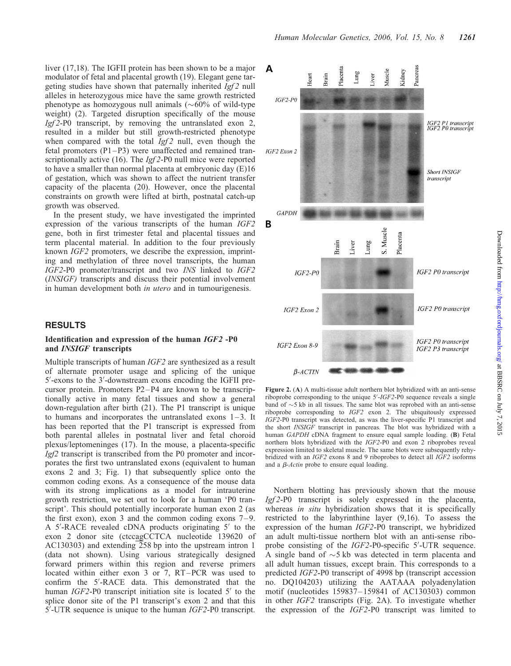liver (17,18). The IGFII protein has been shown to be a major modulator of fetal and placental growth (19). Elegant gene targeting studies have shown that paternally inherited  $Igf2$  null alleles in heterozygous mice have the same growth restricted phenotype as homozygous null animals  $(\sim 60\%$  of wild-type weight) (2). Targeted disruption specifically of the mouse Igf 2-P0 transcript, by removing the untranslated exon 2, resulted in a milder but still growth-restricted phenotype when compared with the total  $Igf2$  null, even though the fetal promoters (P1 –P3) were unaffected and remained transcriptionally active (16). The *Igf* 2-P0 null mice were reported to have a smaller than normal placenta at embryonic day (E)16 of gestation, which was shown to affect the nutrient transfer capacity of the placenta (20). However, once the placental constraints on growth were lifted at birth, postnatal catch-up growth was observed.

In the present study, we have investigated the imprinted expression of the various transcripts of the human IGF2 gene, both in first trimester fetal and placental tissues and term placental material. In addition to the four previously known IGF2 promoters, we describe the expression, imprinting and methylation of three novel transcripts, the human IGF2-P0 promoter/transcript and two INS linked to IGF2 (INSIGF) transcripts and discuss their potential involvement in human development both in utero and in tumourigenesis.

#### RESULTS

#### Identification and expression of the human IGF2 -P0 and INSIGF transcripts

Multiple transcripts of human IGF2 are synthesized as a result of alternate promoter usage and splicing of the unique 5'-exons to the 3'-downstream exons encoding the IGFII precursor protein. Promoters P2 –P4 are known to be transcriptionally active in many fetal tissues and show a general down-regulation after birth (21). The P1 transcript is unique to humans and incorporates the untranslated exons  $1-3$ . It has been reported that the P1 transcript is expressed from both parental alleles in postnatal liver and fetal choroid plexus/leptomeninges (17). In the mouse, a placenta-specific Igf2 transcript is transcribed from the P0 promoter and incorporates the first two untranslated exons (equivalent to human exons 2 and 3; Fig. 1) that subsequently splice onto the common coding exons. As a consequence of the mouse data with its strong implications as a model for intrauterine growth restriction, we set out to look for a human 'P0 transcript'. This should potentially incorporate human exon 2 (as the first exon), exon 3 and the common coding exons  $7-9$ . A 5'-RACE revealed cDNA products originating 5' to the exon 2 donor site (ctccagCCTCA nucleotide 139620 of AC130303) and extending 258 bp into the upstream intron 1 (data not shown). Using various strategically designed forward primers within this region and reverse primers located within either exon 3 or 7, RT –PCR was used to confirm the 5'-RACE data. This demonstrated that the human  $IGF2-P0$  transcript initiation site is located  $5'$  to the splice donor site of the P1 transcript's exon 2 and that this  $5^{\prime}$ -UTR sequence is unique to the human *IGF2*-P0 transcript.



Figure 2. (A) A multi-tissue adult northern blot hybridized with an anti-sense riboprobe corresponding to the unique  $5'-IGF2-P0$  sequence reveals a single band of  $\sim$  5 kb in all tissues. The same blot was reprobed with an anti-sense riboprobe corresponding to IGF2 exon 2. The ubiquitously expressed IGF2-P0 transcript was detected, as was the liver-specific P1 transcript and the short INSIGF transcript in pancreas. The blot was hybridized with a human GAPDH cDNA fragment to ensure equal sample loading. (B) Fetal northern blots hybridized with the IGF2-P0 and exon 2 riboprobes reveal expression limited to skeletal muscle. The same blots were subsequently rehybridized with an IGF2 exons 8 and 9 riboprobes to detect all IGF2 isoforms and a *B-Actin* probe to ensure equal loading.

Northern blotting has previously shown that the mouse Igf 2-P0 transcript is solely expressed in the placenta, whereas in situ hybridization shows that it is specifically restricted to the labyrinthine layer (9,16). To assess the expression of the human IGF2-P0 transcript, we hybridized an adult multi-tissue northern blot with an anti-sense riboprobe consisting of the IGF2-P0-specific 5'-UTR sequence. A single band of  $\sim$ 5 kb was detected in term placenta and all adult human tissues, except brain. This corresponds to a predicted IGF2-P0 transcript of 4998 bp (transcript accession no. DQ104203) utilizing the AATAAA polyadenylation motif (nucleotides 159837 – 159841 of AC130303) common in other IGF2 transcripts (Fig. 2A). To investigate whether the expression of the IGF2-P0 transcript was limited to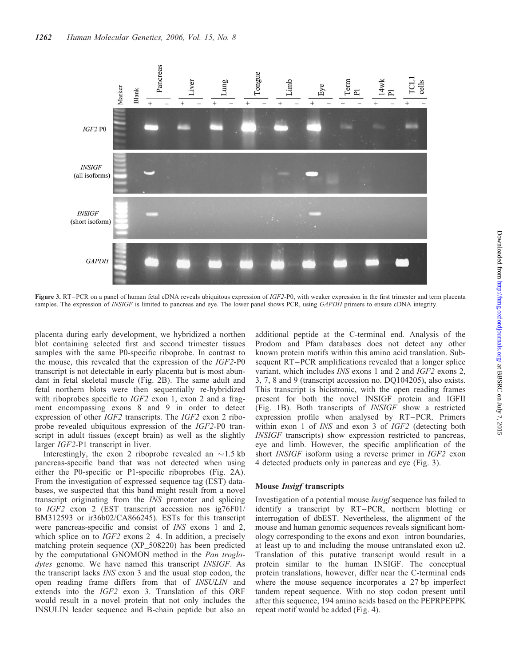

Figure 3. RT–PCR on a panel of human fetal cDNA reveals ubiquitous expression of IGF2-P0, with weaker expression in the first trimester and term placenta samples. The expression of INSIGF is limited to pancreas and eye. The lower panel shows PCR, using GAPDH primers to ensure cDNA integrity.

placenta during early development, we hybridized a northen blot containing selected first and second trimester tissues samples with the same P0-specific riboprobe. In contrast to the mouse, this revealed that the expression of the IGF2-P0 transcript is not detectable in early placenta but is most abundant in fetal skeletal muscle (Fig. 2B). The same adult and fetal northern blots were then sequentially re-hybridized with riboprobes specific to *IGF2* exon 1, exon 2 and a fragment encompassing exons 8 and 9 in order to detect expression of other IGF2 transcripts. The IGF2 exon 2 riboprobe revealed ubiquitous expression of the IGF2-P0 transcript in adult tissues (except brain) as well as the slightly larger IGF2-P1 transcript in liver.

Interestingly, the exon 2 riboprobe revealed an  $\sim$ 1.5 kb pancreas-specific band that was not detected when using either the P0-specific or P1-specific riboprobes (Fig. 2A). From the investigation of expressed sequence tag (EST) databases, we suspected that this band might result from a novel transcript originating from the INS promoter and splicing to IGF2 exon 2 (EST transcript accession nos ig76F01/ BM312593 or ir36b02/CA866245). ESTs for this transcript were pancreas-specific and consist of INS exons 1 and 2, which splice on to  $IGF2$  exons 2–4. In addition, a precisely matching protein sequence (XP\_508220) has been predicted by the computational GNOMON method in the Pan troglodytes genome. We have named this transcript *INSIGF*. As the transcript lacks INS exon 3 and the usual stop codon, the open reading frame differs from that of INSULIN and extends into the IGF2 exon 3. Translation of this ORF would result in a novel protein that not only includes the INSULIN leader sequence and B-chain peptide but also an

additional peptide at the C-terminal end. Analysis of the Prodom and Pfam databases does not detect any other known protein motifs within this amino acid translation. Subsequent RT –PCR amplifications revealed that a longer splice variant, which includes INS exons 1 and 2 and IGF2 exons 2, 3, 7, 8 and 9 (transcript accession no. DQ104205), also exists. This transcript is bicistronic, with the open reading frames present for both the novel INSIGF protein and IGFII (Fig. 1B). Both transcripts of INSIGF show a restricted expression profile when analysed by RT-PCR. Primers within exon 1 of *INS* and exon 3 of *IGF2* (detecting both INSIGF transcripts) show expression restricted to pancreas, eye and limb. However, the specific amplification of the short INSIGF isoform using a reverse primer in IGF2 exon 4 detected products only in pancreas and eye (Fig. 3).

#### Mouse Insigf transcripts

Investigation of a potential mouse Insigf sequence has failed to identify a transcript by RT –PCR, northern blotting or interrogation of dbEST. Nevertheless, the alignment of the mouse and human genomic sequences reveals significant homology corresponding to the exons and exon –intron boundaries, at least up to and including the mouse untranslated exon u2. Translation of this putative transcript would result in a protein similar to the human INSIGF. The conceptual protein translations, however, differ near the C-terminal ends where the mouse sequence incorporates a 27 bp imperfect tandem repeat sequence. With no stop codon present until after this sequence, 194 amino acids based on the PEPRPEPPK repeat motif would be added (Fig. 4).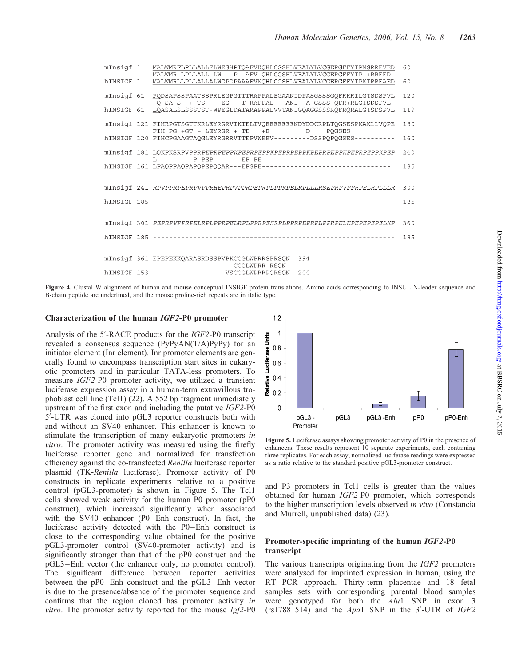| mInsigf 1 | MALWMRFLPLLALLFLWESHPTQAFVKQHLCGSHLVEALYLVCGERGFFYTPMSRREVED<br>MALWMR LPLLALL LW P AFV QHLCGSHLVEALYLVCGERGFFYTP +RREED      | 60  |
|-----------|-------------------------------------------------------------------------------------------------------------------------------|-----|
| hINSIGF 1 | MALWMRLLPLLALLALWGPDPAAAFVNOHLCGSHLVEALYLVCGERGFFYTPKTRREAED                                                                  | 60  |
|           | mInsigf 61 PODSAPSSPAATSSPRLEGPGTTTRAPPALEGAANIDPASGSSSGOFRKRILGTSDSPVL<br>Q SA S ++TS+ EG T RAPPAL ANI A GSSS QFR+RLGTSDSPVL | 120 |
|           | hINSIGF 61 LQASALSLSSSTST-WPEGLDATARAPPALVVTANIGQAGGSSSRQFRQRALGTSDSPVL                                                       | 119 |
|           | mInsiqf 121 FIHRPGTSGTTKRLEYRGRVIKTELTVQEEEEEEENDYDDCRPLTQGSESPKAKLLVQPE<br>FIH PG +GT + LEYRGR + TE +E D POGSES              | 180 |
|           | hINSIGF 120 FIHCPGAAGTAQGLEYRGRRVTTEPVWEEV---------DSSPQPQGSES----------                                                      | 160 |
|           | mInsigf 181 LQKPKSRPVPPRPEPRPEPPKPEPRPEPPKPEPRPEPPKPEPRPEPPKPEPRPEPPKPEP<br>L PPEP EPPE                                       | 240 |
|           |                                                                                                                               | 185 |
|           | mInsigf 241 RPVPPRPEPRPVPPRHEPRPVPPRPEPRPLPPRPELRPLLLRSEPRPVPPRPELRPLLLLR                                                     | 300 |
|           |                                                                                                                               | 185 |
|           |                                                                                                                               |     |
|           | mInsigf 301 PEPRPVPPRPELRPLPPRPELRPLPPRPESRPLPPRPEPRPLPPRPELKPEPEPEPELKP                                                      | 360 |
|           |                                                                                                                               | 185 |
|           | mInsigf 361 EPEPEKKQARASRDSSPVPKCCGLWPRRSPRSQN<br>394                                                                         |     |
|           | <b>CCGLWPRR RSON</b><br>hINSIGF 153 -------------------WSCCGLWPRRPQRSQN 200                                                   |     |

Figure 4. Clustal W alignment of human and mouse conceptual INSIGF protein translations. Amino acids corresponding to INSULIN-leader sequence and B-chain peptide are underlined, and the mouse proline-rich repeats are in italic type.

#### Characterization of the human IGF2-P0 promoter

Analysis of the 5'-RACE products for the IGF2-P0 transcript revealed a consensus sequence (PyPyAN(T/A)PyPy) for an initiator element (Inr element). Inr promoter elements are generally found to encompass transcription start sites in eukaryotic promoters and in particular TATA-less promoters. To measure IGF2-P0 promoter activity, we utilized a transient luciferase expression assay in a human-term extravillous trophoblast cell line (Tcl1) (22). A 552 bp fragment immediately upstream of the first exon and including the putative IGF2-P0 5<sup>7</sup>-UTR was cloned into pGL3 reporter constructs both with and without an SV40 enhancer. This enhancer is known to stimulate the transcription of many eukaryotic promoters in vitro. The promoter activity was measured using the firefly luciferase reporter gene and normalized for transfection efficiency against the co-transfected Renilla luciferase reporter plasmid (TK-Renilla luciferase). Promoter activity of P0 constructs in replicate experiments relative to a positive control (pGL3-promoter) is shown in Figure 5. The Tcl1 cells showed weak activity for the human P0 promoter (pP0 construct), which increased significantly when associated with the SV40 enhancer (P0-Enh construct). In fact, the luciferase activity detected with the P0 –Enh construct is close to the corresponding value obtained for the positive pGL3-promoter control (SV40-promoter activity) and is significantly stronger than that of the pP0 construct and the pGL3 –Enh vector (the enhancer only, no promoter control). The significant difference between reporter activities between the pP0 –Enh construct and the pGL3 –Enh vector is due to the presence/absence of the promoter sequence and confirms that the region cloned has promoter activity in vitro. The promoter activity reported for the mouse Igf2-P0



Figure 5. Luciferase assays showing promoter activity of P0 in the presence of enhancers. These results represent 10 separate experiments, each containing three replicates. For each assay, normalized luciferase readings were expressed as a ratio relative to the standard positive pGL3-promoter construct.

and P3 promoters in Tcl1 cells is greater than the values obtained for human IGF2-P0 promoter, which corresponds to the higher transcription levels observed in vivo (Constancia and Murrell, unpublished data) (23).

## Promoter-specific imprinting of the human IGF2-P0 transcript

The various transcripts originating from the IGF2 promoters were analysed for imprinted expression in human, using the RT –PCR approach. Thirty-term placentae and 18 fetal samples sets with corresponding parental blood samples were genotyped for both the Alu1 SNP in exon 3  $(rs17881514)$  and the Apa1 SNP in the 3'-UTR of IGF2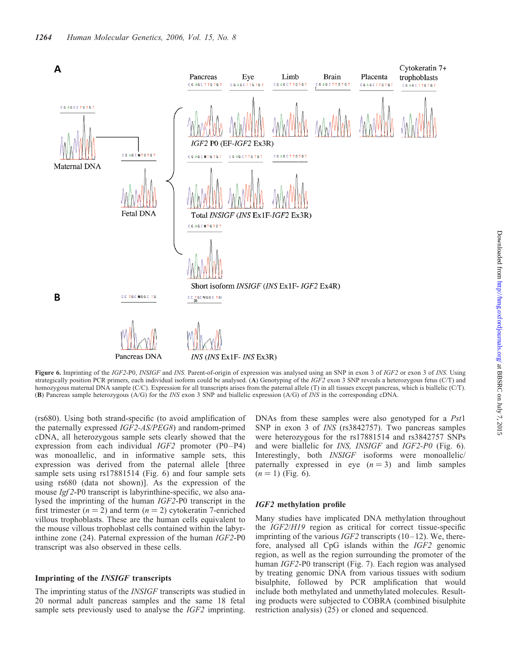

Figure 6. Imprinting of the IGF2-P0, INSIGF and INS. Parent-of-origin of expression was analysed using an SNP in exon 3 of IGF2 or exon 3 of INS. Using strategically position PCR primers, each individual isoform could be analysed. (A) Genotyping of the IGF2 exon 3 SNP reveals a heterozygous fetus (C/T) and homozygous maternal DNA sample (C/C). Expression for all transcripts arises from the paternal allele (T) in all tissues except pancreas, which is biallelic (C/T). (B) Pancreas sample heterozygous (A/G) for the INS exon 3 SNP and biallelic expression (A/G) of INS in the corresponding cDNA.

(rs680). Using both strand-specific (to avoid amplification of the paternally expressed IGF2-AS/PEG8) and random-primed cDNA, all heterozygous sample sets clearly showed that the expression from each individual  $IGF2$  promoter  $(P0-P4)$ was monoallelic, and in informative sample sets, this expression was derived from the paternal allele [three sample sets using rs17881514 (Fig. 6) and four sample sets using rs680 (data not shown)]. As the expression of the mouse Igf 2-P0 transcript is labyrinthine-specific, we also analysed the imprinting of the human IGF2-P0 transcript in the first trimester  $(n = 2)$  and term  $(n = 2)$  cytokeratin 7-enriched villous trophoblasts. These are the human cells equivalent to the mouse villous trophoblast cells contained within the labyrinthine zone (24). Paternal expression of the human IGF2-P0 transcript was also observed in these cells.

#### Imprinting of the INSIGF transcripts

The imprinting status of the INSIGF transcripts was studied in 20 normal adult pancreas samples and the same 18 fetal sample sets previously used to analyse the *IGF2* imprinting. DNAs from these samples were also genotyped for a Pst1 SNP in exon 3 of INS (rs3842757). Two pancreas samples were heterozygous for the rs17881514 and rs3842757 SNPs and were biallelic for INS, INSIGF and IGF2-P0 (Fig. 6). Interestingly, both INSIGF isoforms were monoallelic/ paternally expressed in eye  $(n = 3)$  and limb samples  $(n = 1)$  (Fig. 6).

#### IGF2 methylation profile

Many studies have implicated DNA methylation throughout the IGF2/H19 region as critical for correct tissue-specific imprinting of the various *IGF2* transcripts  $(10-12)$ . We, therefore, analysed all CpG islands within the IGF2 genomic region, as well as the region surrounding the promoter of the human IGF2-P0 transcript (Fig. 7). Each region was analysed by treating genomic DNA from various tissues with sodium bisulphite, followed by PCR amplification that would include both methylated and unmethylated molecules. Resulting products were subjected to COBRA (combined bisulphite restriction analysis) (25) or cloned and sequenced.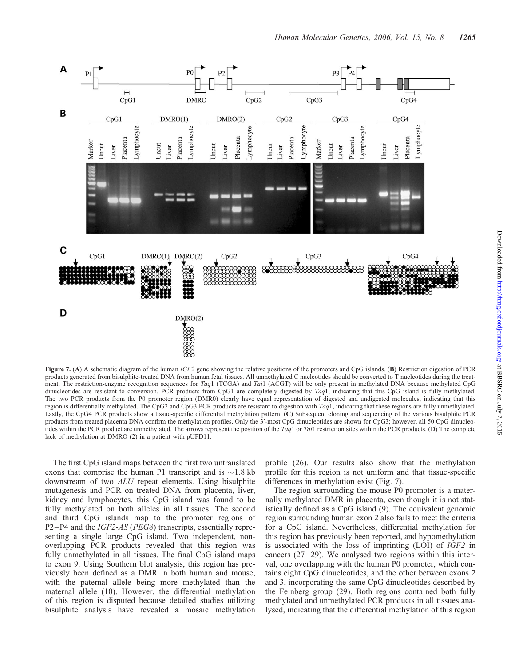

Figure 7. (A) A schematic diagram of the human  $IGF2$  gene showing the relative positions of the promoters and CpG islands. (B) Restriction digestion of PCR products generated from bisulphite-treated DNA from human fetal tissues. All unmethylated C nucleotides should be converted to T nucleotides during the treatment. The restriction-enzyme recognition sequences for Taq1 (TCGA) and Tai1 (ACGT) will be only present in methylated DNA because methylated CpG dinucleotides are resistant to conversion. PCR products from CpG1 are completely digested by  $Taq1$ , indicating that this CpG island is fully methylated. The two PCR products from the P0 promoter region (DMR0) clearly have equal representation of digested and undigested molecules, indicating that this region is differentially methylated. The CpG2 and CpG3 PCR products are resistant to digestion with  $Taq1$ , indicating that these regions are fully unmethylated. Lastly, the CpG4 PCR products show a tissue-specific differential methylation pattern. (C) Subsequent cloning and sequencing of the various bisulphite PCR products from treated placenta DNA confirm the methylation profiles. Only the  $3'$ -most CpG dinucleotides are shown for CpG3; however, all 50 CpG dinucleotides within the PCR product are unmethylated. The arrows represent the position of the Taq1 or Tai1 restriction sites within the PCR products. (D) The complete lack of methylation at DMRO (2) in a patient with pUPD11.

The first CpG island maps between the first two untranslated exons that comprise the human P1 transcript and is  $\sim$  1.8 kb downstream of two ALU repeat elements. Using bisulphite mutagenesis and PCR on treated DNA from placenta, liver, kidney and lymphocytes, this CpG island was found to be fully methylated on both alleles in all tissues. The second and third CpG islands map to the promoter regions of P2 –P4 and the IGF2-AS (PEG8) transcripts, essentially representing a single large CpG island. Two independent, nonoverlapping PCR products revealed that this region was fully unmethylated in all tissues. The final CpG island maps to exon 9. Using Southern blot analysis, this region has previously been defined as a DMR in both human and mouse, with the paternal allele being more methylated than the maternal allele (10). However, the differential methylation of this region is disputed because detailed studies utilizing bisulphite analysis have revealed a mosaic methylation

profile (26). Our results also show that the methylation profile for this region is not uniform and that tissue-specific differences in methylation exist (Fig. 7).

The region surrounding the mouse P0 promoter is a maternally methylated DMR in placenta, even though it is not statistically defined as a CpG island (9). The equivalent genomic region surrounding human exon 2 also fails to meet the criteria for a CpG island. Nevertheless, differential methylation for this region has previously been reported, and hypomethylation is associated with the loss of imprinting (LOI) of IGF2 in cancers  $(27-29)$ . We analysed two regions within this interval, one overlapping with the human P0 promoter, which contains eight CpG dinucleotides, and the other between exons 2 and 3, incorporating the same CpG dinucleotides described by the Feinberg group (29). Both regions contained both fully methylated and unmethylated PCR products in all tissues analysed, indicating that the differential methylation of this region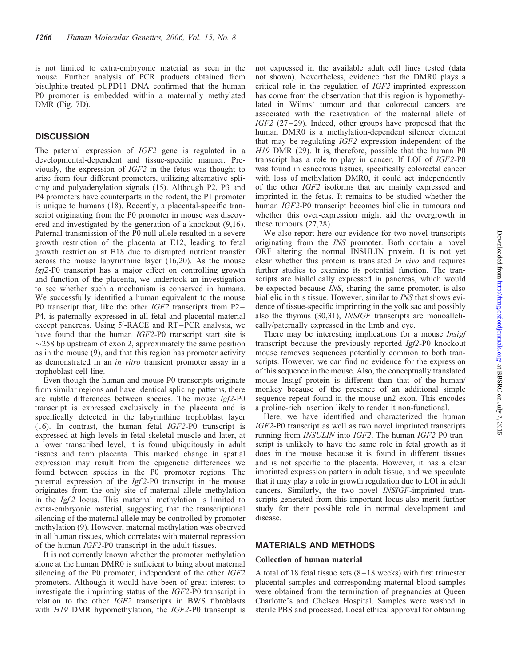is not limited to extra-embryonic material as seen in the mouse. Further analysis of PCR products obtained from bisulphite-treated pUPD11 DNA confirmed that the human P0 promoter is embedded within a maternally methylated DMR (Fig. 7D).

## **DISCUSSION**

The paternal expression of IGF2 gene is regulated in a developmental-dependent and tissue-specific manner. Previously, the expression of IGF2 in the fetus was thought to arise from four different promoters, utilizing alternative splicing and polyadenylation signals (15). Although P2, P3 and P4 promoters have counterparts in the rodent, the P1 promoter is unique to humans (18). Recently, a placental-specific transcript originating from the P0 promoter in mouse was discovered and investigated by the generation of a knockout (9,16). Paternal transmission of the P0 null allele resulted in a severe growth restriction of the placenta at E12, leading to fetal growth restriction at E18 due to disrupted nutrient transfer across the mouse labyrinthine layer (16,20). As the mouse Igf2-P0 transcript has a major effect on controlling growth and function of the placenta, we undertook an investigation to see whether such a mechanism is conserved in humans. We successfully identified a human equivalent to the mouse P0 transcript that, like the other *IGF2* transcripts from P2– P4, is paternally expressed in all fetal and placental material except pancreas. Using 5'-RACE and RT-PCR analysis, we have found that the human *IGF2-P0* transcript start site is  $\sim$ 258 bp upstream of exon 2, approximately the same position as in the mouse (9), and that this region has promoter activity as demonstrated in an in vitro transient promoter assay in a trophoblast cell line.

Even though the human and mouse P0 transcripts originate from similar regions and have identical splicing patterns, there are subtle differences between species. The mouse Igf2-P0 transcript is expressed exclusively in the placenta and is specifically detected in the labyrinthine trophoblast layer (16). In contrast, the human fetal IGF2-P0 transcript is expressed at high levels in fetal skeletal muscle and later, at a lower transcribed level, it is found ubiquitously in adult tissues and term placenta. This marked change in spatial expression may result from the epigenetic differences we found between species in the P0 promoter regions. The paternal expression of the  $Igf2-P0$  transcript in the mouse originates from the only site of maternal allele methylation in the  $Igf2$  locus. This maternal methylation is limited to extra-embryonic material, suggesting that the transcriptional silencing of the maternal allele may be controlled by promoter methylation (9). However, maternal methylation was observed in all human tissues, which correlates with maternal repression of the human IGF2-P0 transcript in the adult tissues.

It is not currently known whether the promoter methylation alone at the human DMR0 is sufficient to bring about maternal silencing of the P0 promoter, independent of the other *IGF2* promoters. Although it would have been of great interest to investigate the imprinting status of the IGF2-P0 transcript in relation to the other IGF2 transcripts in BWS fibroblasts with H19 DMR hypomethylation, the IGF2-P0 transcript is not expressed in the available adult cell lines tested (data not shown). Nevertheless, evidence that the DMR0 plays a critical role in the regulation of IGF2-imprinted expression has come from the observation that this region is hypomethylated in Wilms' tumour and that colorectal cancers are associated with the reactivation of the maternal allele of IGF2 (27-29). Indeed, other groups have proposed that the human DMR0 is a methylation-dependent silencer element that may be regulating IGF2 expression independent of the H19 DMR (29). It is, therefore, possible that the human P0 transcript has a role to play in cancer. If LOI of IGF2-P0 was found in cancerous tissues, specifically colorectal cancer with loss of methylation DMR0, it could act independently of the other IGF2 isoforms that are mainly expressed and imprinted in the fetus. It remains to be studied whether the human IGF2-P0 transcript becomes biallelic in tumours and whether this over-expression might aid the overgrowth in these tumours (27,28).

We also report here our evidence for two novel transcripts originating from the INS promoter. Both contain a novel ORF altering the normal INSULIN protein. It is not yet clear whether this protein is translated in vivo and requires further studies to examine its potential function. The transcripts are biallelically expressed in pancreas, which would be expected because INS, sharing the same promoter, is also biallelic in this tissue. However, similar to INS that shows evidence of tissue-specific imprinting in the yolk sac and possibly also the thymus (30,31), INSIGF transcripts are monoallelically/paternally expressed in the limb and eye.

There may be interesting implications for a mouse *Insigf* transcript because the previously reported Igf2-P0 knockout mouse removes sequences potentially common to both transcripts. However, we can find no evidence for the expression of this sequence in the mouse. Also, the conceptually translated mouse Insigf protein is different than that of the human/ monkey because of the presence of an additional simple sequence repeat found in the mouse un2 exon. This encodes a proline-rich insertion likely to render it non-functional.

Here, we have identified and characterized the human IGF2-P0 transcript as well as two novel imprinted transcripts running from INSULIN into IGF2. The human IGF2-P0 transcript is unlikely to have the same role in fetal growth as it does in the mouse because it is found in different tissues and is not specific to the placenta. However, it has a clear imprinted expression pattern in adult tissue, and we speculate that it may play a role in growth regulation due to LOI in adult cancers. Similarly, the two novel INSIGF-imprinted transcripts generated from this important locus also merit further study for their possible role in normal development and disease.

## MATERIALS AND METHODS

## Collection of human material

A total of 18 fetal tissue sets  $(8-18$  weeks) with first trimester placental samples and corresponding maternal blood samples were obtained from the termination of pregnancies at Queen Charlotte's and Chelsea Hospital. Samples were washed in sterile PBS and processed. Local ethical approval for obtaining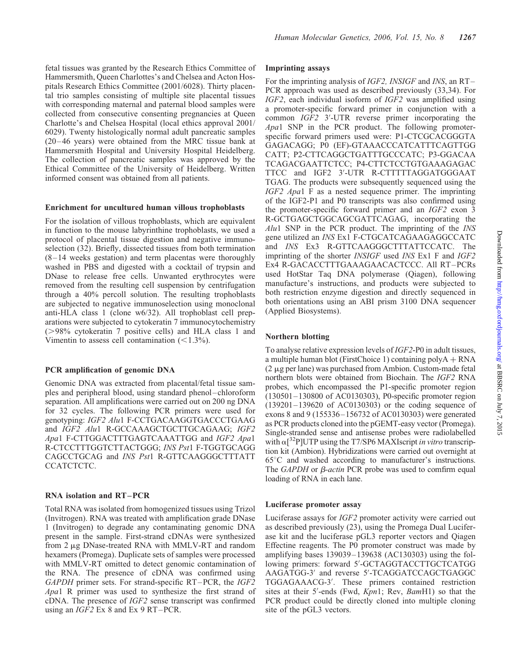fetal tissues was granted by the Research Ethics Committee of Hammersmith, Queen Charlottes's and Chelsea and Acton Hospitals Research Ethics Committee (2001/6028). Thirty placental trio samples consisting of multiple site placental tissues with corresponding maternal and paternal blood samples were collected from consecutive consenting pregnancies at Queen Charlotte's and Chelsea Hospital (local ethics approval 2001/ 6029). Twenty histologically normal adult pancreatic samples (20 – 46 years) were obtained from the MRC tissue bank at Hammersmith Hospital and University Hospital Heidelberg. The collection of pancreatic samples was approved by the Ethical Committee of the University of Heidelberg. Written informed consent was obtained from all patients.

#### Enrichment for uncultured human villous trophoblasts

For the isolation of villous trophoblasts, which are equivalent in function to the mouse labyrinthine trophoblasts, we used a protocol of placental tissue digestion and negative immunoselection (32). Briefly, dissected tissues from both termination  $(8-14$  weeks gestation) and term placentas were thoroughly washed in PBS and digested with a cocktail of trypsin and DNase to release free cells. Unwanted erythrocytes were removed from the resulting cell suspension by centrifugation through a 40% percoll solution. The resulting trophoblasts are subjected to negative immunoselection using monoclonal anti-HLA class 1 (clone w6/32). All trophoblast cell preparations were subjected to cytokeratin 7 immunocytochemistry  $(>98\%$  cytokeratin 7 positive cells) and HLA class 1 and Vimentin to assess cell contamination  $(\leq 1.3\%)$ .

#### PCR amplification of genomic DNA

Genomic DNA was extracted from placental/fetal tissue samples and peripheral blood, using standard phenol –chloroform separation. All amplifications were carried out on 200 ng DNA for 32 cycles. The following PCR primers were used for genotyping: IGF2 Alu1 F-CCTGACAAGGTGACCCTGAAG and IGF2 Alu1 R-GCCAAAGCTGCTTGCAGAAG; IGF2 Apa1 F-CTTGGACTTTGAGTCAAATTGG and IGF2 Apa1 R-CTCCTTTGGTCTTACTGGG; INS Pst1 F-TGGTGCAGG CAGCCTGCAG and INS Pst1 R-GTTCAAGGGCTTTATT CCATCTCTC.

## RNA isolation and RT –PCR

Total RNA was isolated from homogenized tissues using Trizol (Invitrogen). RNA was treated with amplification grade DNase 1 (Invitrogen) to degrade any contaminating genomic DNA present in the sample. First-strand cDNAs were synthesized from 2  $\mu$ g DNase-treated RNA with MMLV-RT and random hexamers (Promega). Duplicate sets of samples were processed with MMLV-RT omitted to detect genomic contamination of the RNA. The presence of cDNA was confirmed using GAPDH primer sets. For strand-specific RT-PCR, the IGF2 Apa1 R primer was used to synthesize the first strand of cDNA. The presence of IGF2 sense transcript was confirmed using an *IGF2* Ex 8 and Ex 9 RT-PCR.

#### Imprinting assays

For the imprinting analysis of *IGF2*, *INSIGF* and *INS*, an RT-PCR approach was used as described previously (33,34). For IGF2, each individual isoform of IGF2 was amplified using a promoter-specific forward primer in conjunction with a common  $IGF2$  3'-UTR reverse primer incorporating the Apa1 SNP in the PCR product. The following promoterspecific forward primers used were: P1-CTCGCACGGGTA GAGACAGG; P0 (EF)-GTAAACCCATCATTTCAGTTGG CATT; P2-CTTCAGGCTGATTTGCCCATC; P3-GGACAA TCAGACGAATTCTCC; P4-CTTCTCCTGTGAAAGAGAC TTCC and IGF2 3'-UTR R-CTTTTTAGGATGGGAAT TGAG. The products were subsequently sequenced using the IGF2 Apa1 F as a nested sequence primer. The imprinting of the IGF2-P1 and P0 transcripts was also confirmed using the promoter-specific forward primer and an IGF2 exon 3 R-GCTGAGCTGGCAGCGATTCAGAG, incorporating the Alu1 SNP in the PCR product. The imprinting of the INS gene utilized an INS Ex1 F-CTGCATCAGAAGAGGCCATC and INS Ex3 R-GTTCAAGGGCTTTATTCCATC. The imprinting of the shorter INSIGF used INS Ex1 F and IGF2 Ex4 R-GACACCTTTGAAAGAACACTCCC. All RT –PCRs used HotStar Taq DNA polymerase (Qiagen), following manufacture's instructions, and products were subjected to both restriction enzyme digestion and directly sequenced in both orientations using an ABI prism 3100 DNA sequencer (Applied Biosystems).

## Northern blotting

To analyse relative expression levels of IGF2-P0 in adult tissues, a multiple human blot (FirstChoice 1) containing  $polyA + RNA$  $(2 \mu g)$  per lane) was purchased from Ambion. Custom-made fetal northern blots were obtained from Biochain. The IGF2 RNA probes, which encompassed the P1-specific promoter region (130501–130800 of AC0130303), P0-specific promoter region (139201–139620 of AC0130303) or the coding sequence of exons 8 and 9 (155336–156732 of AC0130303) were generated as PCR products cloned into the pGEMT-easy vector (Promega). Single-stranded sense and antisense probes were radiolabelled with  $\alpha$ <sup>32</sup>P]UTP using the T7/SP6 MAXIscript in vitro transcription kit (Ambion). Hybridizations were carried out overnight at  $65^{\circ}$ C and washed according to manufacturer's instructions. The  $GAPDH$  or  $\beta$ -actin PCR probe was used to comfirm equal loading of RNA in each lane.

#### Luciferase promoter assay

Luciferase assays for IGF2 promoter activity were carried out as described previously (23), using the Promega Dual Luciferase kit and the luciferase pGL3 reporter vectors and Qiagen Effectine reagents. The P0 promoter construct was made by amplifying bases 139039 –139638 (AC130303) using the following primers: forward 5'-GCTAGGTACCTTGCTCATGG AAGATGG-3' and reverse 5'-TCAGGATCCAGCTGAGGC TGGAGAAACG-3'. These primers contained restriction sites at their 5'-ends (Fwd,  $Kpn1$ ; Rev,  $BamH1$ ) so that the PCR product could be directly cloned into multiple cloning site of the pGL3 vectors.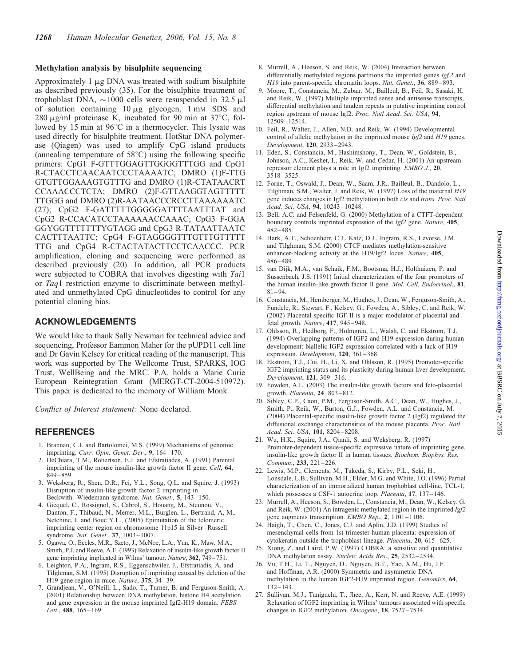## Methylation analysis by bisulphite sequencing

Approximately  $1 \mu g$  DNA was treated with sodium bisulphite as described previously (35). For the bisulphite treatment of trophoblast DNA,  $\sim$ 1000 cells were resuspended in 32.5  $\mu$ l of solution containing  $10 \mu g$  glycogen,  $1 \text{ mm}$  SDS and 280  $\mu$ g/ml proteinase K, incubated for 90 min at 37 $\degree$ C, followed by 15 min at  $96^{\circ}$ C in a thermocycler. This lysate was used directly for bisulphite treatment. HotStar DNA polymerase (Qiagen) was used to amplify CpG island products (annealing temperature of  $58^{\circ}$ C) using the following specific primers: CpG1 F-GTTTGGAGTTGGGGTTTGG and CpG1 R-CTACCTCAACAATCCCTAAAATC; DMRO (1)F-TTG GTGTTGGAAAGTGTTTG and DMRO (1)R-CTATAACRT CCAAACCCTCTA; DMRO (2)F-GTTAAGGTAGTTTTT TTGGG and DMRO (2)R-AATAACCCRCCTTAAAAAATC (27); CpG2 F-GATTTTTGGGGGATTTTAATTTAT and CpG2 R-CCACATCCTAAAAAACCAAAC; CpG3 F-GGA GGYGGTTTTTTTYGTAGG and CpG3 R-TATAATTAATC CACTTTAATTC; CpG4 F-GTAGGGGTTTGTTTGTTTTT TTG and CpG4 R-CTACTATACTTCCTCAACCC. PCR amplification, cloning and sequencing were performed as described previously (20). In addition, all PCR products were subjected to COBRA that involves digesting with Tail or Taq1 restriction enzyme to discriminate between methylated and unmethylated CpG dinucleotides to control for any potential cloning bias.

## ACKNOWLEDGEMENTS

We would like to thank Sally Newman for technical advice and sequencing, Professor Eammon Maher for the pUPD11 cell line and Dr Gavin Kelsey for critical reading of the manuscript. This work was supported by The Wellcome Trust, SPARKS, IOG Trust, WellBeing and the MRC. P.A. holds a Marie Curie European Reintegration Grant (MERGT-CT-2004-510972). This paper is dedicated to the memory of William Monk.

Conflict of Interest statement: None declared.

## REFERENCES

- 1. Brannan, C.I. and Bartolomei, M.S. (1999) Mechanisms of genomic imprinting. Curr. Opin. Genet. Dev., 9, 164-170.
- 2. DeChiara, T.M., Robertson, E.J. and Efstratiades, A. (1991) Parental imprinting of the mouse insulin-like growth factor II gene. Cell, 64, 849 –859.
- 3. Weksberg, R., Shen, D.R., Fei, Y.L., Song, Q.L. and Squire, J. (1993) Disruption of insulin-like growth factor 2 imprinting in Beckwith–Wiedemann syndrome. Nat. Genet., 5, 143–150.
- 4. Gicquel, C., Rossignol, S., Cabrol, S., Houang, M., Steunou, V., Danton, F., Thibaud, N., Merrer, M.L., Burglen, L., Bertrand, A, M., Netchine, I. and Bouc Y.L., (2005) Epimutation of the telomeric imprinting center region on chromosome 11p15 in Silver–Russell syndrome. Nat. Genet., 37, 1003–1007.
- 5. Ogawa, O., Eccles, M.R., Szeto, J., McNoe, L.A., Yun, K., Maw, M.A., Smith, P.J. and Reeve, A.E. (1993) Relaxation of insulin-like growth factor II gene imprinting implicated in Wilms' tumour. Nature, 362, 749–751.
- 6. Leighton, P.A., Ingram, R.S., Eggenschwiler, J., Efstratiadis, A. and Tilghman, S.M. (1995) Disruption of imprinting caused by deletion of the H19 gene region in mice. Nature, 375, 34–39.
- 7. Grandjean, V., O'Neill, L., Sado, T., Turner, B. and Ferguson-Smith, A. (2001) Relationship between DNA methylation, histone H4 acetylation and gene expression in the mouse imprinted Igf2-H19 domain. FEBS Lett., 488, 165-169.
- 8. Murrell, A., Heeson, S. and Reik, W. (2004) Interaction between differentially methylated regions partitions the imprinted genes  $Igf2$  and H19 into parent-specific chromatin loops. Nat. Genet., 36, 889–893.
- 9. Moore, T., Constancia, M., Zubair, M., Bailleul, B., Feil, R., Sasaki, H. and Reik, W. (1997) Multiple imprinted sense and antisense transcripts, differential methylation and tandem repeats in putative imprinting control region upstream of mouse Igf2. Proc. Natl Acad. Sci. USA, 94, 12509–12514.
- 10. Feil, R., Walter, J., Allen, N.D. and Reik, W. (1994) Developmental control of allelic methylation in the imprinted mouse Igf2 and H19 genes. Development, 120, 2933–2943.
- 11. Eden, S., Constancia, M., Hashimshony, T., Dean, W., Goldstein, B., Johnson, A.C., Keshet, I., Reik, W. and Cedar, H. (2001) An upstream repressor element plays a role in Igf2 imprinting. EMBO J., 20, 3518–3525.
- 12. Forne, T., Oswald, J., Dean, W., Saam, J.R., Bailleul, B., Dandolo, L., Tilghman, S.M., Walter, J. and Reik, W. (1997) Loss of the maternal H19 gene induces changes in Igf2 methylation in both cis and trans. Proc. Natl Acad. Sci. USA, 94, 10243– 10248.
- 13. Bell, A.C. and Felsenfeld, G. (2000) Methylation of a CTFT-dependent boundary controls imprinted expression of the Igf2 gene. Nature, 405, 482–485.
- 14. Hark, A.T., Schoenherr, C.J., Katz, D.J., Ingram, R.S., Levorse, J.M. and Tilghman, S.M. (2000) CTCF mediates methylation-sensitive enhancer-blocking activity at the H19/Igf2 locus. Nature, 405, 486–489.
- 15. van Dijk, M.A., van Schaik, F.M., Bootsma, H.J., Holthuizen, P. and Sussenbach, J.S. (1991) Initial characterization of the four promoters of the human insulin-like growth factor II gene. Mol. Cell. Endocrinol., 81, 81–94.
- 16. Constancia, M., Hemberger, M., Hughes, J., Dean, W., Ferguson-Smith, A., Fundele, R., Stewart, F., Kelsey, G., Fowden, A., Sibley, C. and Reik, W. (2002) Placental-specific IGF-II is a major modulator of placental and fetal growth. Nature, 417, 945–948.
- 17. Ohlsson, R., Hedborg, F., Holmgren, L., Walsh, C. and Ekstrom, T.J. (1994) Overlapping patterns of IGF2 and H19 expression during human development: biallelic IGF2 expression correlated with a lack of H19 expression. Development, 120, 361–368.
- 18. Ekstrom, T.J., Cui, H., Li, X. and Ohlsson, R. (1995) Promoter-specific IGF2 imprinting status and its plasticity during human liver development. Development, 121, 309–316.
- 19. Fowden, A.L. (2003) The insulin-like growth factors and feto-placental growth. Placenta, 24, 803–812.
- 20. Sibley, C.P., Caon, P.M., Ferguson-Smith, A.C., Dean, W., Hughes, J., Smith, P., Reik, W., Burton, G.J., Fowden, A.L. and Constancia, M. (2004) Placental-specific insulin-like growth factor 2 (Igf2) regulated the diffusional exchange characterisitics of the mouse placenta. Proc. Natl Acad. Sci. USA, 101, 8204– 8208.
- 21. Wu, H.K., Squire, J.A., Qianli, S. and Weksberg, R. (1997) Promoter-dependent tissue-specific expressive nature of imprinting gene, insulin-like growth factor II in human tissues. Biochem. Biophys. Res. Commun., 233, 221–226.
- 22. Lewis, M.P., Clements, M., Takeda, S., Kirby, P.L., Seki, H., Lonsdale, L.B., Sullivan, M.H., Elder, M.G. and White, J.O. (1996) Partial characterization of an immortalized human trophoblast cell-line, TCL-1, which possesses a CSF-1 autocrine loop. Placenta, 17, 137-146.
- 23. Murrell, A., Heeson, S., Bowden, L., Constancia, M., Dean, W., Kelsey, G. and Reik, W. (2001) An intragenic methylated region in the imprinted Igf2 gene augments transcription. EMBO Rep., 2, 1101–1106.
- 24. Haigh, T., Chen, C., Jones, C.J. and Aplin, J.D. (1999) Studies of mesenchymal cells from 1st trimester human placenta: expression of cytokeratin outside the trophoblast lineage. Placenta, 20, 615-625.
- 25. Xiong, Z. and Laird, P.W. (1997) COBRA: a sensitive and quantitative DNA methylation assay. Nucleic Acids Res., 25, 2532–2534.
- 26. Vu, T.H., Li, T., Nguyen, D., Nguyen, B.T., Yao, X.M., Hu, J.F. and Hoffman, A.R. (2000) Symmetric and asymmetric DNA methylation in the human IGF2-H19 imprinted region. Genomics, 64, 132–143.
- 27. Sullivan, M.J., Taniguchi, T., Jhee, A., Kerr, N. and Reeve, A.E. (1999) Relaxation of IGF2 imprinting in Wilms' tumours associated with specific changes in IGF2 methylation. Oncogene, 18, 7527–7534.